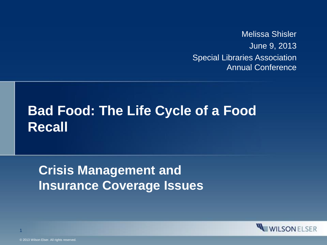Melissa Shisler June 9, 2013 Special Libraries Association Annual Conference

#### **Bad Food: The Life Cycle of a Food Recall**

**Crisis Management and Insurance Coverage Issues**

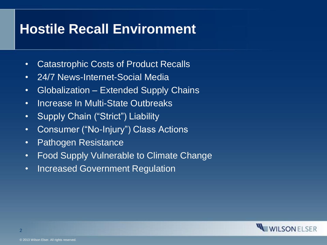#### **Hostile Recall Environment**

- Catastrophic Costs of Product Recalls
- 24/7 News-Internet-Social Media
- Globalization Extended Supply Chains
- Increase In Multi-State Outbreaks
- Supply Chain ("Strict") Liability
- Consumer ("No-Injury") Class Actions
- Pathogen Resistance
- Food Supply Vulnerable to Climate Change
- Increased Government Regulation

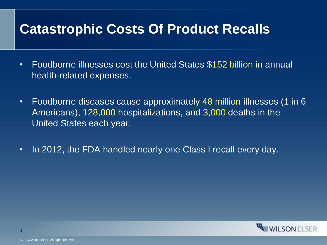#### **Catastrophic Costs Of Product Recalls**

- Foodborne illnesses cost the United States \$152 billion in annual health-related expenses.
- Foodborne diseases cause approximately 48 million illnesses (1 in 6 Americans), 128,000 hospitalizations, and 3,000 deaths in the United States each year.
- In 2012, the FDA handled nearly one Class I recall every day.

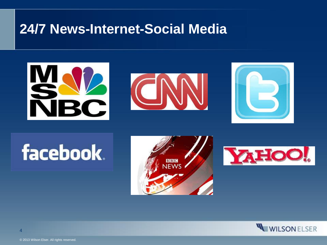#### **24/7 News-Internet-Social Media**



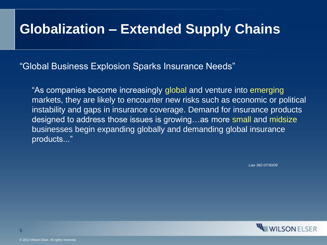#### **Globalization – Extended Supply Chains**

"Global Business Explosion Sparks Insurance Needs"

"As companies become increasingly global and venture into emerging markets, they are likely to encounter new risks such as economic or political instability and gaps in insurance coverage. Demand for insurance products designed to address those issues is growing…as more small and midsize businesses begin expanding globally and demanding global insurance products..."

*Law 360 07/30/09*

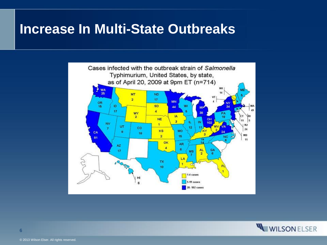#### **Increase In Multi-State Outbreaks**



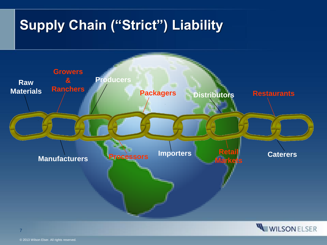## **Supply Chain ("Strict") Liability**





7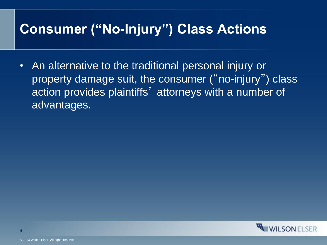#### **Consumer ("No-Injury") Class Actions**

• An alternative to the traditional personal injury or property damage suit, the consumer (" no-injury") class action provides plaintiffs' attorneys with a number of advantages.

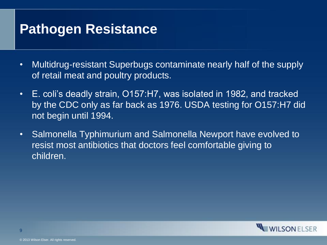#### **Pathogen Resistance**

- Multidrug-resistant Superbugs contaminate nearly half of the supply of retail meat and poultry products.
- E. coli's deadly strain, O157:H7, was isolated in 1982, and tracked by the CDC only as far back as 1976. USDA testing for O157:H7 did not begin until 1994.
- Salmonella Typhimurium and Salmonella Newport have evolved to resist most antibiotics that doctors feel comfortable giving to children.

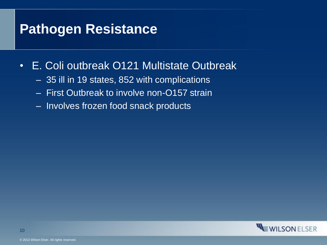#### **Pathogen Resistance**

- E. Coli outbreak O121 Multistate Outbreak
	- 35 ill in 19 states, 852 with complications
	- First Outbreak to involve non-O157 strain
	- Involves frozen food snack products

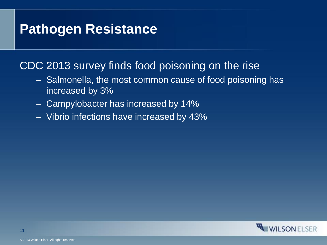#### **Pathogen Resistance**

#### CDC 2013 survey finds food poisoning on the rise

- Salmonella, the most common cause of food poisoning has increased by 3%
- Campylobacter has increased by 14%
- Vibrio infections have increased by 43%

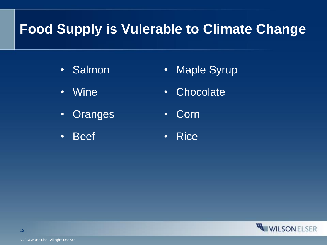#### **Food Supply is Vulerable to Climate Change**

- Salmon
- Wine
- Oranges
- Beef
- Maple Syrup
- Chocolate
- Corn
- Rice

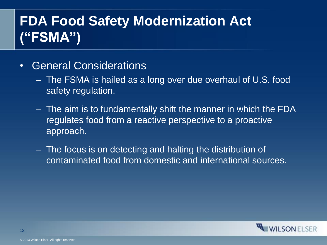## **FDA Food Safety Modernization Act ("FSMA")**

- General Considerations
	- The FSMA is hailed as a long over due overhaul of U.S. food safety regulation.
	- The aim is to fundamentally shift the manner in which the FDA regulates food from a reactive perspective to a proactive approach.
	- The focus is on detecting and halting the distribution of contaminated food from domestic and international sources.

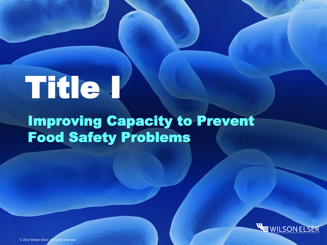## Title I

## Improving Capacity to Prevent Food Safety Problems

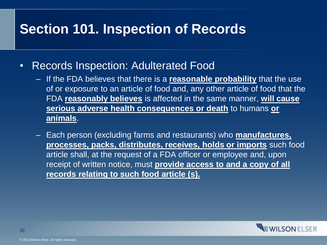#### **Section 101. Inspection of Records**

- Records Inspection: Adulterated Food
	- If the FDA believes that there is a **reasonable probability** that the use of or exposure to an article of food and, any other article of food that the FDA **reasonably believes** is affected in the same manner, **will cause serious adverse health consequences or death** to humans **or animals**.
	- Each person (excluding farms and restaurants) who **manufactures, processes, packs, distributes, receives, holds or imports** such food article shall, at the request of a FDA officer or employee and, upon receipt of written notice, must **provide access to and a copy of all records relating to such food article (s).**

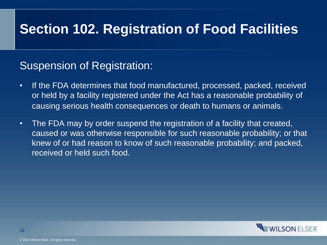#### **Section 102. Registration of Food Facilities**

#### Suspension of Registration:

- If the FDA determines that food manufactured, processed, packed, received or held by a facility registered under the Act has a reasonable probability of causing serious health consequences or death to humans or animals.
- The FDA may by order suspend the registration of a facility that created, caused or was otherwise responsible for such reasonable probability; or that knew of or had reason to know of such reasonable probability; and packed, received or held such food.

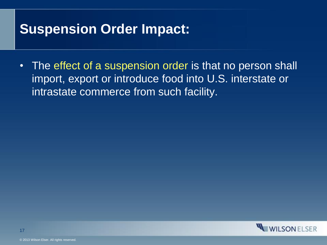#### **Suspension Order Impact:**

• The effect of a suspension order is that no person shall import, export or introduce food into U.S. interstate or intrastate commerce from such facility.

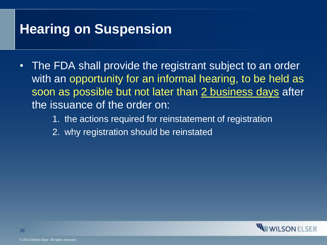#### **Hearing on Suspension**

- The FDA shall provide the registrant subject to an order with an opportunity for an informal hearing, to be held as soon as possible but not later than 2 business days after the issuance of the order on:
	- 1. the actions required for reinstatement of registration
	- 2. why registration should be reinstated

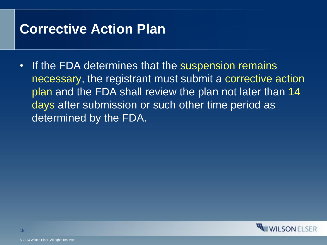#### **Corrective Action Plan**

• If the FDA determines that the suspension remains necessary, the registrant must submit a corrective action plan and the FDA shall review the plan not later than 14 days after submission or such other time period as determined by the FDA.

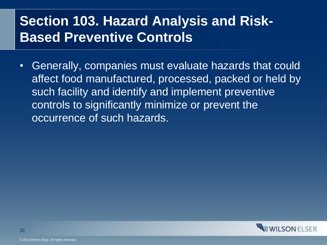#### **Section 103. Hazard Analysis and Risk-Based Preventive Controls**

• Generally, companies must evaluate hazards that could affect food manufactured, processed, packed or held by such facility and identify and implement preventive controls to significantly minimize or prevent the occurrence of such hazards.

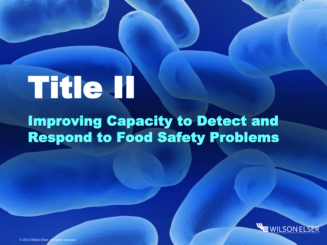# Title II

## Improving Capacity to Detect and Respond to Food Safety Problems

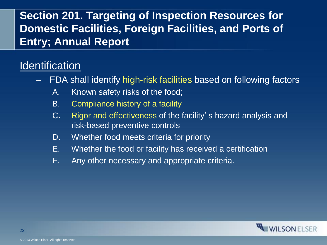#### **Section 201. Targeting of Inspection Resources for Domestic Facilities, Foreign Facilities, and Ports of Entry; Annual Report**

#### **Identification**

- FDA shall identify high-risk facilities based on following factors
	- A. Known safety risks of the food;
	- B. Compliance history of a facility
	- C. Rigor and effectiveness of the facility's hazard analysis and risk-based preventive controls
	- D. Whether food meets criteria for priority
	- E. Whether the food or facility has received a certification
	- F. Any other necessary and appropriate criteria.

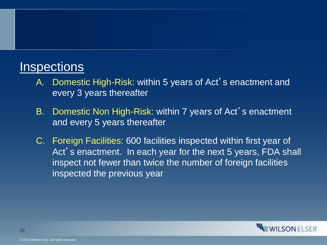#### **Inspections**

- A. Domestic High-Risk: within 5 years of Act's enactment and every 3 years thereafter
- B. Domestic Non High-Risk: within 7 years of Act's enactment and every 5 years thereafter
- C. Foreign Facilities: 600 facilities inspected within first year of Act's enactment. In each year for the next 5 years, FDA shall inspect not fewer than twice the number of foreign facilities inspected the previous year

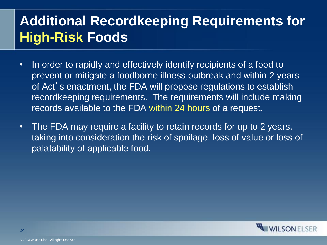### **Additional Recordkeeping Requirements for High-Risk Foods**

- In order to rapidly and effectively identify recipients of a food to prevent or mitigate a foodborne illness outbreak and within 2 years of Act's enactment, the FDA will propose regulations to establish recordkeeping requirements. The requirements will include making records available to the FDA within 24 hours of a request.
- The FDA may require a facility to retain records for up to 2 years, taking into consideration the risk of spoilage, loss of value or loss of palatability of applicable food.

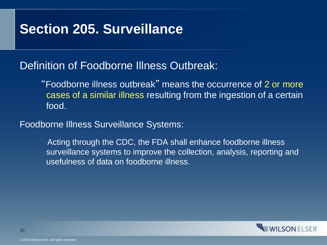#### **Section 205. Surveillance**

#### Definition of Foodborne Illness Outbreak:

 "Foodborne illness outbreak" means the occurrence of 2 or more cases of a similar illness resulting from the ingestion of a certain food.

Foodborne Illness Surveillance Systems:

 Acting through the CDC, the FDA shall enhance foodborne illness surveillance systems to improve the collection, analysis, reporting and usefulness of data on foodborne illness.

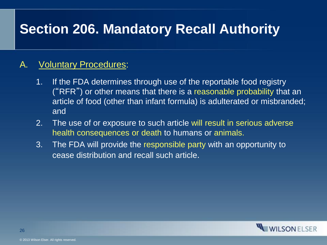#### **Section 206. Mandatory Recall Authority**

#### A. Voluntary Procedures:

- 1. If the FDA determines through use of the reportable food registry ("RFR") or other means that there is a reasonable probability that an article of food (other than infant formula) is adulterated or misbranded; and
- 2. The use of or exposure to such article will result in serious adverse health consequences or death to humans or animals.
- 3. The FDA will provide the responsible party with an opportunity to cease distribution and recall such article.

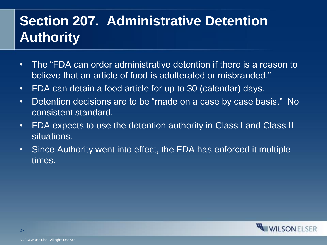## **Section 207. Administrative Detention Authority**

- The "FDA can order administrative detention if there is a reason to believe that an article of food is adulterated or misbranded."
- FDA can detain a food article for up to 30 (calendar) days.
- Detention decisions are to be "made on a case by case basis." No consistent standard.
- FDA expects to use the detention authority in Class I and Class II situations.
- Since Authority went into effect, the FDA has enforced it multiple times.

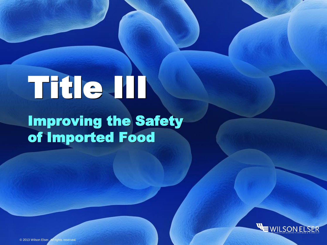## Title III Improving the Safety of Imported Food

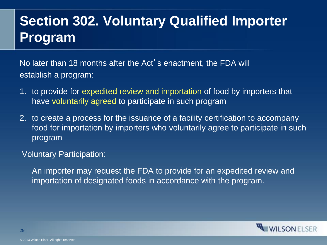### **Section 302. Voluntary Qualified Importer Program**

No later than 18 months after the Act's enactment, the FDA will establish a program:

- 1. to provide for expedited review and importation of food by importers that have voluntarily agreed to participate in such program
- 2. to create a process for the issuance of a facility certification to accompany food for importation by importers who voluntarily agree to participate in such program

Voluntary Participation:

An importer may request the FDA to provide for an expedited review and importation of designated foods in accordance with the program.

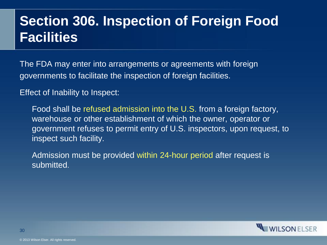#### **Section 306. Inspection of Foreign Food Facilities**

The FDA may enter into arrangements or agreements with foreign governments to facilitate the inspection of foreign facilities.

Effect of Inability to Inspect:

Food shall be refused admission into the U.S. from a foreign factory, warehouse or other establishment of which the owner, operator or government refuses to permit entry of U.S. inspectors, upon request, to inspect such facility.

Admission must be provided within 24-hour period after request is submitted.

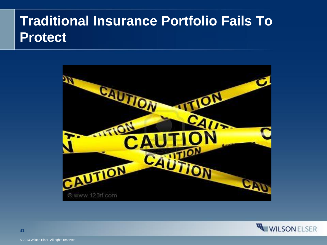#### **Traditional Insurance Portfolio Fails To Protect**



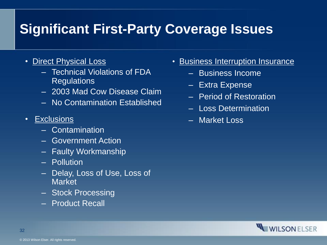### **Significant First-Party Coverage Issues**

- Direct Physical Loss
	- Technical Violations of FDA **Regulations**
	- 2003 Mad Cow Disease Claim
	- No Contamination Established
- Exclusions
	- Contamination
	- Government Action
	- Faulty Workmanship
	- Pollution
	- Delay, Loss of Use, Loss of **Market**
	- Stock Processing
	- Product Recall
- Business Interruption Insurance
	- Business Income
	- Extra Expense
	- Period of Restoration
	- Loss Determination
	- Market Loss

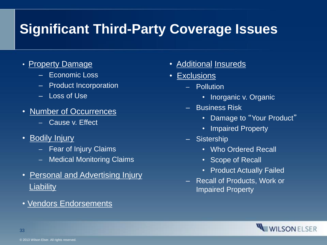## **Significant Third-Party Coverage Issues**

- Property Damage
	- Economic Loss
	- Product Incorporation
	- Loss of Use
- Number of Occurrences
	- ‒ Cause v. Effect
- Bodily Injury
	- ‒ Fear of Injury Claims
	- ‒ Medical Monitoring Claims
- Personal and Advertising Injury **Liability**
- Vendors Endorsements
- Additional Insureds
- Exclusions
	- ‒ Pollution
		- Inorganic v. Organic
	- Business Risk
		- Damage to "Your Product"
		- Impaired Property
	- Sistership
		- Who Ordered Recall
		- Scope of Recall
		- Product Actually Failed
	- Recall of Products, Work or Impaired Property

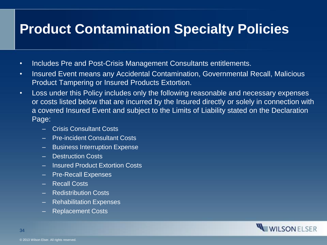#### **Product Contamination Specialty Policies**

- Includes Pre and Post-Crisis Management Consultants entitlements.
- Insured Event means any Accidental Contamination, Governmental Recall, Malicious Product Tampering or Insured Products Extortion.
- Loss under this Policy includes only the following reasonable and necessary expenses or costs listed below that are incurred by the Insured directly or solely in connection with a covered Insured Event and subject to the Limits of Liability stated on the Declaration Page:
	- Crisis Consultant Costs
	- Pre-incident Consultant Costs
	- Business Interruption Expense
	- Destruction Costs
	- Insured Product Extortion Costs
	- Pre-Recall Expenses
	- Recall Costs
	- Redistribution Costs
	- Rehabilitation Expenses
	- Replacement Costs

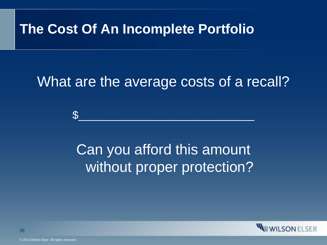#### **The Cost Of An Incomplete Portfolio**

## What are the average costs of a recall?

\$\_\_\_\_\_\_\_\_\_\_\_\_\_\_\_\_\_\_\_\_\_\_\_\_\_\_\_\_\_

Can you afford this amount without proper protection?